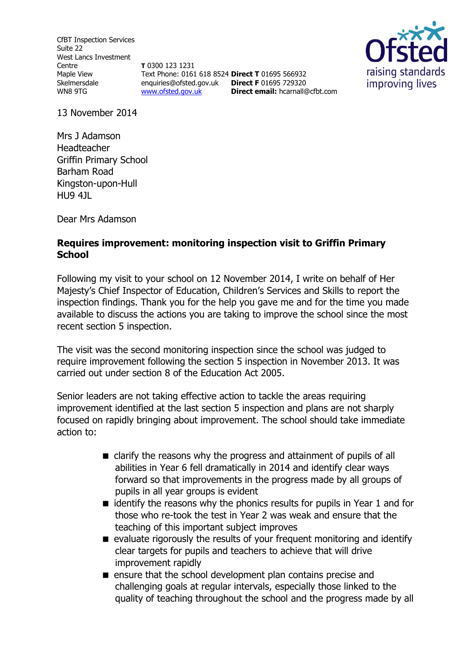CfBT Inspection Services Suite 22 West Lancs Investment Centre Maple View Skelmersdale WN8 9TG

**T** 0300 123 1231 Text Phone: 0161 618 8524 **Direct T** 01695 566932 enquiries@ofsted.gov.uk **Direct F** 01695 729320 [www.ofsted.gov.uk](http://www.ofsted.gov.uk/)



13 November 2014

Mrs J Adamson Headteacher Griffin Primary School Barham Road Kingston-upon-Hull HU9 4JL

Dear Mrs Adamson

# **Requires improvement: monitoring inspection visit to Griffin Primary School**

Following my visit to your school on 12 November 2014, I write on behalf of Her Majesty's Chief Inspector of Education, Children's Services and Skills to report the inspection findings. Thank you for the help you gave me and for the time you made available to discuss the actions you are taking to improve the school since the most recent section 5 inspection.

**Direct email:** [hcarnall@cfbt.com](file:///C:/Users/jcoleman/AppData/Local/Microsoft/Windows/Temporary%20Internet%20Files/Content.Outlook/W76Q34WU/hcarnall@cfbt.com)

The visit was the second monitoring inspection since the school was judged to require improvement following the section 5 inspection in November 2013. It was carried out under section 8 of the Education Act 2005.

Senior leaders are not taking effective action to tackle the areas requiring improvement identified at the last section 5 inspection and plans are not sharply focused on rapidly bringing about improvement. The school should take immediate action to:

- clarify the reasons why the progress and attainment of pupils of all abilities in Year 6 fell dramatically in 2014 and identify clear ways forward so that improvements in the progress made by all groups of pupils in all year groups is evident
- $\blacksquare$  identify the reasons why the phonics results for pupils in Year 1 and for those who re-took the test in Year 2 was weak and ensure that the teaching of this important subject improves
- $\blacksquare$  evaluate rigorously the results of your frequent monitoring and identify clear targets for pupils and teachers to achieve that will drive improvement rapidly
- **E** ensure that the school development plan contains precise and challenging goals at regular intervals, especially those linked to the quality of teaching throughout the school and the progress made by all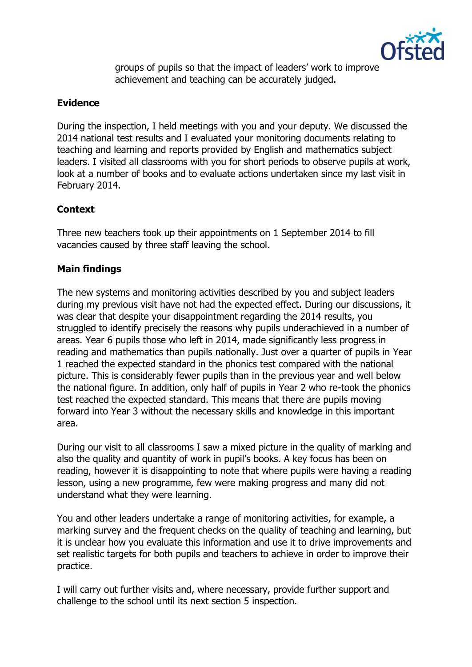

groups of pupils so that the impact of leaders' work to improve achievement and teaching can be accurately judged.

# **Evidence**

During the inspection, I held meetings with you and your deputy. We discussed the 2014 national test results and I evaluated your monitoring documents relating to teaching and learning and reports provided by English and mathematics subject leaders. I visited all classrooms with you for short periods to observe pupils at work, look at a number of books and to evaluate actions undertaken since my last visit in February 2014.

# **Context**

Three new teachers took up their appointments on 1 September 2014 to fill vacancies caused by three staff leaving the school.

# **Main findings**

The new systems and monitoring activities described by you and subject leaders during my previous visit have not had the expected effect. During our discussions, it was clear that despite your disappointment regarding the 2014 results, you struggled to identify precisely the reasons why pupils underachieved in a number of areas. Year 6 pupils those who left in 2014, made significantly less progress in reading and mathematics than pupils nationally. Just over a quarter of pupils in Year 1 reached the expected standard in the phonics test compared with the national picture. This is considerably fewer pupils than in the previous year and well below the national figure. In addition, only half of pupils in Year 2 who re-took the phonics test reached the expected standard. This means that there are pupils moving forward into Year 3 without the necessary skills and knowledge in this important area.

During our visit to all classrooms I saw a mixed picture in the quality of marking and also the quality and quantity of work in pupil's books. A key focus has been on reading, however it is disappointing to note that where pupils were having a reading lesson, using a new programme, few were making progress and many did not understand what they were learning.

You and other leaders undertake a range of monitoring activities, for example, a marking survey and the frequent checks on the quality of teaching and learning, but it is unclear how you evaluate this information and use it to drive improvements and set realistic targets for both pupils and teachers to achieve in order to improve their practice.

I will carry out further visits and, where necessary, provide further support and challenge to the school until its next section 5 inspection.